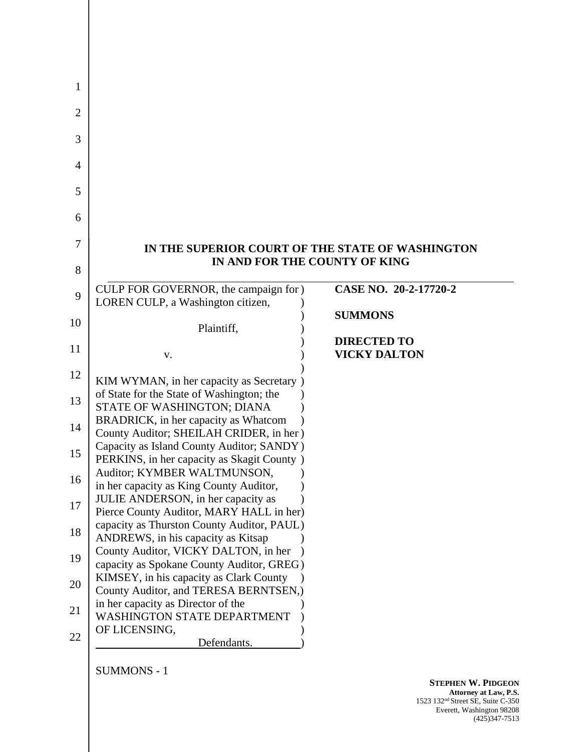| IN THE SUPERIOR COURT OF THE STATE OF WASHINGTON                                       |                               |
|----------------------------------------------------------------------------------------|-------------------------------|
|                                                                                        | IN AND FOR THE COUNTY OF KING |
| CULP FOR GOVERNOR, the campaign for )                                                  | CASE NO. 20-2-17720-2         |
| LOREN CULP, a Washington citizen,                                                      |                               |
| Plaintiff,                                                                             | <b>SUMMONS</b>                |
|                                                                                        | <b>DIRECTED TO</b>            |
| V.                                                                                     | <b>VICKY DALTON</b>           |
| KIM WYMAN, in her capacity as Secretary )                                              |                               |
| of State for the State of Washington; the                                              |                               |
| STATE OF WASHINGTON; DIANA                                                             |                               |
| BRADRICK, in her capacity as Whatcom                                                   |                               |
| County Auditor; SHEILAH CRIDER, in her)<br>Capacity as Island County Auditor; SANDY)   |                               |
| PERKINS, in her capacity as Skagit County)                                             |                               |
| Auditor; KYMBER WALTMUNSON,                                                            |                               |
| in her capacity as King County Auditor,                                                |                               |
| JULIE ANDERSON, in her capacity as                                                     |                               |
| Pierce County Auditor, MARY HALL in her)<br>capacity as Thurston County Auditor, PAUL) |                               |
| ANDREWS, in his capacity as Kitsap                                                     |                               |
| County Auditor, VICKY DALTON, in her                                                   |                               |
| capacity as Spokane County Auditor, GREG)                                              |                               |
| KIMSEY, in his capacity as Clark County                                                |                               |
| County Auditor, and TERESA BERNTSEN,)                                                  |                               |
| in her capacity as Director of the                                                     |                               |
| <b>WASHINGTON STATE DEPARTMENT</b><br>OF LICENSING,                                    |                               |
| Defendants.                                                                            |                               |
|                                                                                        |                               |

SUMMONS - 1